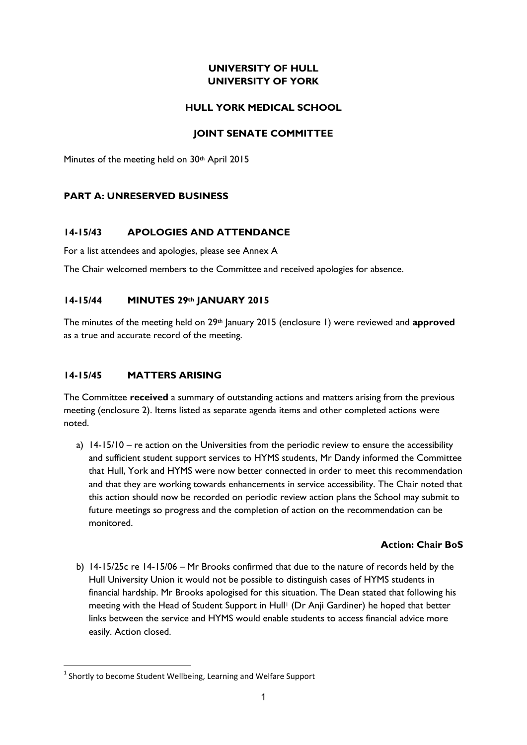# **UNIVERSITY OF HULL UNIVERSITY OF YORK**

## **HULL YORK MEDICAL SCHOOL**

## **JOINT SENATE COMMITTEE**

Minutes of the meeting held on 30<sup>th</sup> April 2015

## **PART A: UNRESERVED BUSINESS**

## **14-15/43 APOLOGIES AND ATTENDANCE**

For a list attendees and apologies, please see Annex A

The Chair welcomed members to the Committee and received apologies for absence.

## **14-15/44 MINUTES 29th JANUARY 2015**

The minutes of the meeting held on 29th January 2015 (enclosure 1) were reviewed and **approved** as a true and accurate record of the meeting.

# **14-15/45 MATTERS ARISING**

The Committee **received** a summary of outstanding actions and matters arising from the previous meeting (enclosure 2). Items listed as separate agenda items and other completed actions were noted.

a) 14-15/10 – re action on the Universities from the periodic review to ensure the accessibility and sufficient student support services to HYMS students, Mr Dandy informed the Committee that Hull, York and HYMS were now better connected in order to meet this recommendation and that they are working towards enhancements in service accessibility. The Chair noted that this action should now be recorded on periodic review action plans the School may submit to future meetings so progress and the completion of action on the recommendation can be monitored.

#### **Action: Chair BoS**

b) 14-15/25c re 14-15/06 – Mr Brooks confirmed that due to the nature of records held by the Hull University Union it would not be possible to distinguish cases of HYMS students in financial hardship. Mr Brooks apologised for this situation. The Dean stated that following his meeting with the Head of Student Support in Hull<sup>1</sup> (Dr Anji Gardiner) he hoped that better links between the service and HYMS would enable students to access financial advice more easily. Action closed.

**.** 

 $<sup>1</sup>$  Shortly to become Student Wellbeing, Learning and Welfare Support</sup>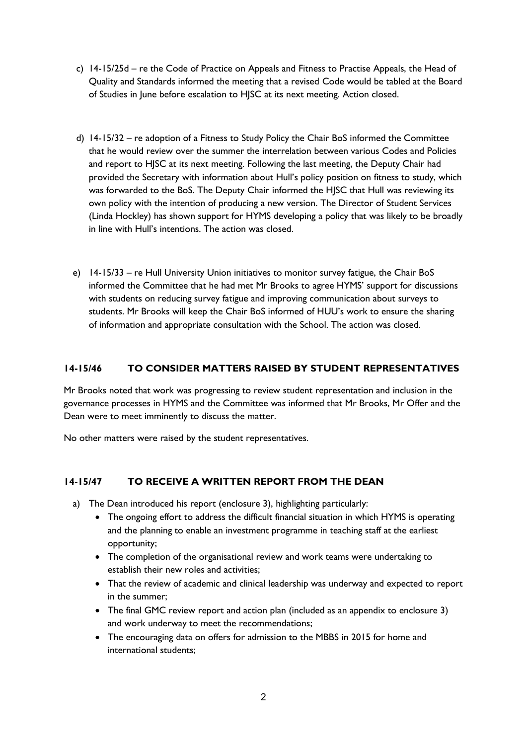- c) 14-15/25d re the Code of Practice on Appeals and Fitness to Practise Appeals, the Head of Quality and Standards informed the meeting that a revised Code would be tabled at the Board of Studies in June before escalation to HJSC at its next meeting. Action closed.
- d) 14-15/32 re adoption of a Fitness to Study Policy the Chair BoS informed the Committee that he would review over the summer the interrelation between various Codes and Policies and report to HJSC at its next meeting. Following the last meeting, the Deputy Chair had provided the Secretary with information about Hull's policy position on fitness to study, which was forwarded to the BoS. The Deputy Chair informed the HJSC that Hull was reviewing its own policy with the intention of producing a new version. The Director of Student Services (Linda Hockley) has shown support for HYMS developing a policy that was likely to be broadly in line with Hull's intentions. The action was closed.
- e) 14-15/33 re Hull University Union initiatives to monitor survey fatigue, the Chair BoS informed the Committee that he had met Mr Brooks to agree HYMS' support for discussions with students on reducing survey fatigue and improving communication about surveys to students. Mr Brooks will keep the Chair BoS informed of HUU's work to ensure the sharing of information and appropriate consultation with the School. The action was closed.

# **14-15/46 TO CONSIDER MATTERS RAISED BY STUDENT REPRESENTATIVES**

Mr Brooks noted that work was progressing to review student representation and inclusion in the governance processes in HYMS and the Committee was informed that Mr Brooks, Mr Offer and the Dean were to meet imminently to discuss the matter.

No other matters were raised by the student representatives.

# **14-15/47 TO RECEIVE A WRITTEN REPORT FROM THE DEAN**

- a) The Dean introduced his report (enclosure 3), highlighting particularly:
	- The ongoing effort to address the difficult financial situation in which HYMS is operating and the planning to enable an investment programme in teaching staff at the earliest opportunity;
	- The completion of the organisational review and work teams were undertaking to establish their new roles and activities;
	- That the review of academic and clinical leadership was underway and expected to report in the summer;
	- The final GMC review report and action plan (included as an appendix to enclosure 3) and work underway to meet the recommendations;
	- The encouraging data on offers for admission to the MBBS in 2015 for home and international students;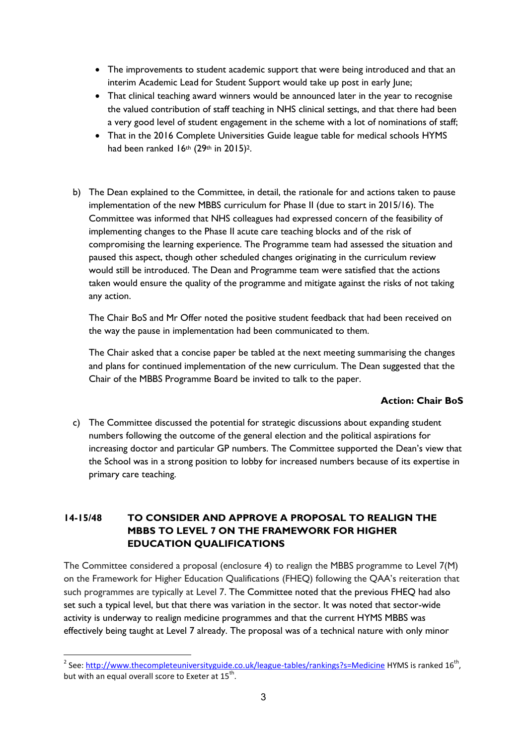- The improvements to student academic support that were being introduced and that an interim Academic Lead for Student Support would take up post in early June;
- That clinical teaching award winners would be announced later in the year to recognise the valued contribution of staff teaching in NHS clinical settings, and that there had been a very good level of student engagement in the scheme with a lot of nominations of staff;
- That in the 2016 Complete Universities Guide league table for medical schools HYMS had been ranked  $16<sup>th</sup>$  (29<sup>th</sup> in 2015)<sup>2</sup>.
- b) The Dean explained to the Committee, in detail, the rationale for and actions taken to pause implementation of the new MBBS curriculum for Phase II (due to start in 2015/16). The Committee was informed that NHS colleagues had expressed concern of the feasibility of implementing changes to the Phase II acute care teaching blocks and of the risk of compromising the learning experience. The Programme team had assessed the situation and paused this aspect, though other scheduled changes originating in the curriculum review would still be introduced. The Dean and Programme team were satisfied that the actions taken would ensure the quality of the programme and mitigate against the risks of not taking any action.

The Chair BoS and Mr Offer noted the positive student feedback that had been received on the way the pause in implementation had been communicated to them.

The Chair asked that a concise paper be tabled at the next meeting summarising the changes and plans for continued implementation of the new curriculum. The Dean suggested that the Chair of the MBBS Programme Board be invited to talk to the paper.

# **Action: Chair BoS**

c) The Committee discussed the potential for strategic discussions about expanding student numbers following the outcome of the general election and the political aspirations for increasing doctor and particular GP numbers. The Committee supported the Dean's view that the School was in a strong position to lobby for increased numbers because of its expertise in primary care teaching.

# **14-15/48 TO CONSIDER AND APPROVE A PROPOSAL TO REALIGN THE MBBS TO LEVEL 7 ON THE FRAMEWORK FOR HIGHER EDUCATION QUALIFICATIONS**

The Committee considered a proposal (enclosure 4) to realign the MBBS programme to Level 7(M) on the Framework for Higher Education Qualifications (FHEQ) following the QAA's reiteration that such programmes are typically at Level 7. The Committee noted that the previous FHEQ had also set such a typical level, but that there was variation in the sector. It was noted that sector-wide activity is underway to realign medicine programmes and that the current HYMS MBBS was effectively being taught at Level 7 already. The proposal was of a technical nature with only minor

 2 See:<http://www.thecompleteuniversityguide.co.uk/league-tables/rankings?s=Medicine> HYMS is ranked 16th , but with an equal overall score to Exeter at  $15^{th}$ .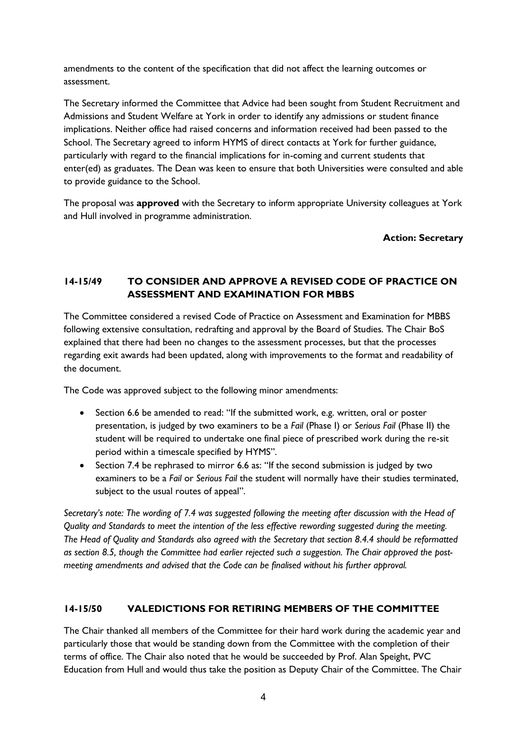amendments to the content of the specification that did not affect the learning outcomes or assessment.

The Secretary informed the Committee that Advice had been sought from Student Recruitment and Admissions and Student Welfare at York in order to identify any admissions or student finance implications. Neither office had raised concerns and information received had been passed to the School. The Secretary agreed to inform HYMS of direct contacts at York for further guidance, particularly with regard to the financial implications for in-coming and current students that enter(ed) as graduates. The Dean was keen to ensure that both Universities were consulted and able to provide guidance to the School.

The proposal was **approved** with the Secretary to inform appropriate University colleagues at York and Hull involved in programme administration.

**Action: Secretary** 

# **14-15/49 TO CONSIDER AND APPROVE A REVISED CODE OF PRACTICE ON ASSESSMENT AND EXAMINATION FOR MBBS**

The Committee considered a revised Code of Practice on Assessment and Examination for MBBS following extensive consultation, redrafting and approval by the Board of Studies. The Chair BoS explained that there had been no changes to the assessment processes, but that the processes regarding exit awards had been updated, along with improvements to the format and readability of the document.

The Code was approved subject to the following minor amendments:

- Section 6.6 be amended to read: "If the submitted work, e.g. written, oral or poster presentation, is judged by two examiners to be a *Fail* (Phase I) or *Serious Fail* (Phase II) the student will be required to undertake one final piece of prescribed work during the re-sit period within a timescale specified by HYMS".
- Section 7.4 be rephrased to mirror 6.6 as: "If the second submission is judged by two examiners to be a *Fail* or *Serious Fail* the student will normally have their studies terminated, subject to the usual routes of appeal".

*Secretary's note: The wording of 7.4 was suggested following the meeting after discussion with the Head of Quality and Standards to meet the intention of the less effective rewording suggested during the meeting. The Head of Quality and Standards also agreed with the Secretary that section 8.4.4 should be reformatted as section 8.5, though the Committee had earlier rejected such a suggestion. The Chair approved the postmeeting amendments and advised that the Code can be finalised without his further approval.* 

# **14-15/50 VALEDICTIONS FOR RETIRING MEMBERS OF THE COMMITTEE**

The Chair thanked all members of the Committee for their hard work during the academic year and particularly those that would be standing down from the Committee with the completion of their terms of office. The Chair also noted that he would be succeeded by Prof. Alan Speight, PVC Education from Hull and would thus take the position as Deputy Chair of the Committee. The Chair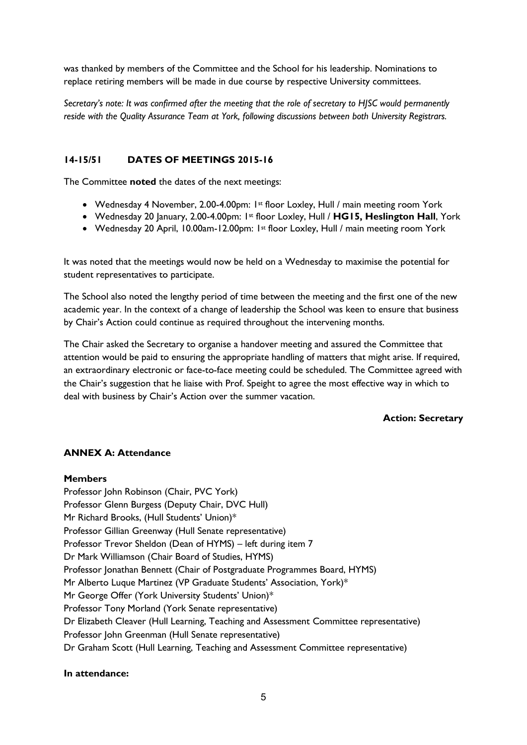was thanked by members of the Committee and the School for his leadership. Nominations to replace retiring members will be made in due course by respective University committees.

*Secretary's note: It was confirmed after the meeting that the role of secretary to HJSC would permanently reside with the Quality Assurance Team at York, following discussions between both University Registrars.*

#### **14-15/51 DATES OF MEETINGS 2015-16**

The Committee **noted** the dates of the next meetings:

- Wednesday 4 November, 2.00-4.00pm: 1st floor Loxley, Hull / main meeting room York
- Wednesday 20 January, 2.00-4.00pm: 1st floor Loxley, Hull / **HG15, Heslington Hall**, York
- Wednesday 20 April, 10.00am-12.00pm: 1st floor Loxley, Hull / main meeting room York

It was noted that the meetings would now be held on a Wednesday to maximise the potential for student representatives to participate.

The School also noted the lengthy period of time between the meeting and the first one of the new academic year. In the context of a change of leadership the School was keen to ensure that business by Chair's Action could continue as required throughout the intervening months.

The Chair asked the Secretary to organise a handover meeting and assured the Committee that attention would be paid to ensuring the appropriate handling of matters that might arise. If required, an extraordinary electronic or face-to-face meeting could be scheduled. The Committee agreed with the Chair's suggestion that he liaise with Prof. Speight to agree the most effective way in which to deal with business by Chair's Action over the summer vacation.

#### **Action: Secretary**

#### **ANNEX A: Attendance**

#### **Members**

Professor John Robinson (Chair, PVC York) Professor Glenn Burgess (Deputy Chair, DVC Hull) Mr Richard Brooks, (Hull Students' Union)\* Professor Gillian Greenway (Hull Senate representative) Professor Trevor Sheldon (Dean of HYMS) – left during item 7 Dr Mark Williamson (Chair Board of Studies, HYMS) Professor Jonathan Bennett (Chair of Postgraduate Programmes Board, HYMS) Mr Alberto Luque Martinez (VP Graduate Students' Association, York)\* Mr George Offer (York University Students' Union)\* Professor Tony Morland (York Senate representative) Dr Elizabeth Cleaver (Hull Learning, Teaching and Assessment Committee representative) Professor John Greenman (Hull Senate representative) Dr Graham Scott (Hull Learning, Teaching and Assessment Committee representative)

#### **In attendance:**